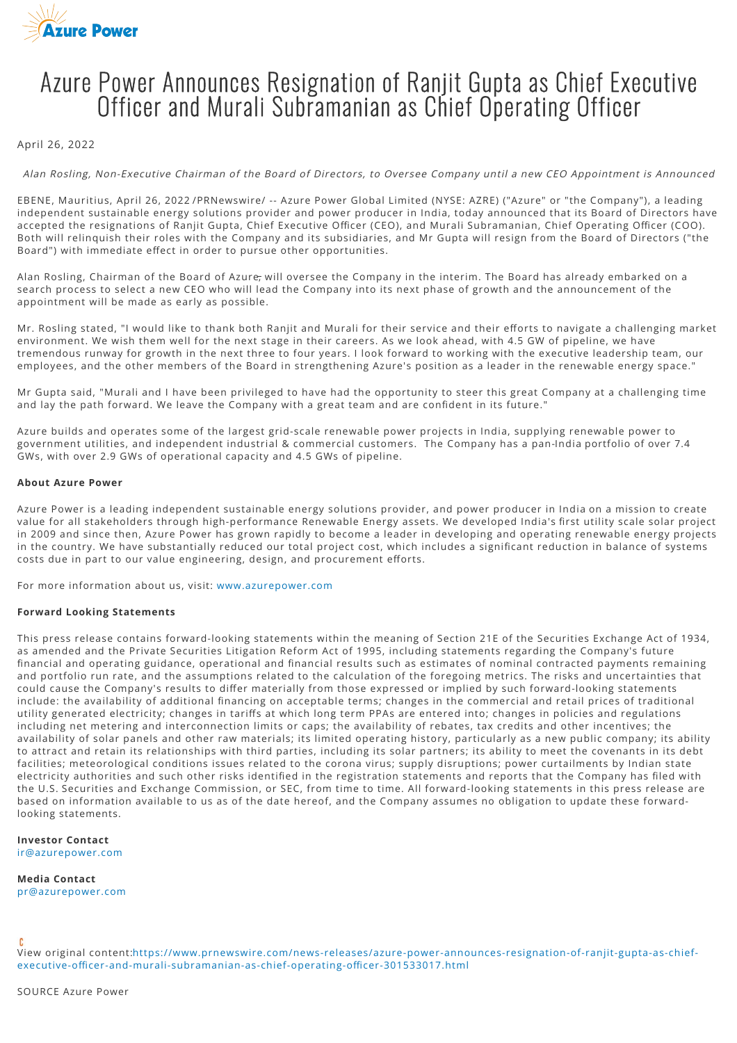

## Azure Power Announces Resignation of Ranjit Gupta as Chief Executive Officer and Murali Subramanian as Chief Operating Officer

## April 26, 2022

Alan Rosling, Non-Executive Chairman of the Board of Directors, to Oversee Company until a new CEO Appointment is Announced

EBENE, Mauritius, April 26, 2022 /PRNewswire/ -- Azure Power Global Limited (NYSE: AZRE) ("Azure" or "the Company"), a leading independent sustainable energy solutions provider and power producer in India, today announced that its Board of Directors have accepted the resignations of Ranjit Gupta, Chief Executive Officer (CEO), and Murali Subramanian, Chief Operating Officer (COO). Both will relinquish their roles with the Company and its subsidiaries, and Mr Gupta will resign from the Board of Directors ("the Board") with immediate effect in order to pursue other opportunities.

Alan Rosling, Chairman of the Board of Azure, will oversee the Company in the interim. The Board has already embarked on a search process to select a new CEO who will lead the Company into its next phase of growth and the announcement of the appointment will be made as early as possible.

Mr. Rosling stated, "I would like to thank both Ranjit and Murali for their service and their efforts to navigate a challenging market environment. We wish them well for the next stage in their careers. As we look ahead, with 4.5 GW of pipeline, we have tremendous runway for growth in the next three to four years. I look forward to working with the executive leadership team, our employees, and the other members of the Board in strengthening Azure's position as a leader in the renewable energy space."

Mr Gupta said, "Murali and I have been privileged to have had the opportunity to steer this great Company at a challenging time and lay the path forward. We leave the Company with a great team and are confident in its future."

Azure builds and operates some of the largest grid-scale renewable power projects in India, supplying renewable power to government utilities, and independent industrial & commercial customers. The Company has a pan-India portfolio of over 7.4 GWs, with over 2.9 GWs of operational capacity and 4.5 GWs of pipeline.

## **About Azure Power**

Azure Power is a leading independent sustainable energy solutions provider, and power producer in India on a mission to create value for all stakeholders through high-performance Renewable Energy assets. We developed India's first utility scale solar project in 2009 and since then, Azure Power has grown rapidly to become a leader in developing and operating renewable energy projects in the country. We have substantially reduced our total project cost, which includes a significant reduction in balance of systems costs due in part to our value engineering, design, and procurement efforts.

For more information about us, visit: [www.azurepower.com](http://www.azurepower.com/)

## **Forward Looking Statements**

This press release contains forward-looking statements within the meaning of Section 21E of the Securities Exchange Act of 1934, as amended and the Private Securities Litigation Reform Act of 1995, including statements regarding the Company's future financial and operating guidance, operational and financial results such as estimates of nominal contracted payments remaining and portfolio run rate, and the assumptions related to the calculation of the foregoing metrics. The risks and uncertainties that could cause the Company's results to differ materially from those expressed or implied by such forward-looking statements include: the availability of additional financing on acceptable terms; changes in the commercial and retail prices of traditional utility generated electricity; changes in tariffs at which long term PPAs are entered into; changes in policies and regulations including net metering and interconnection limits or caps; the availability of rebates, tax credits and other incentives; the availability of solar panels and other raw materials; its limited operating history, particularly as a new public company; its ability to attract and retain its relationships with third parties, including its solar partners; its ability to meet the covenants in its debt facilities; meteorological conditions issues related to the corona virus; supply disruptions; power curtailments by Indian state electricity authorities and such other risks identified in the registration statements and reports that the Company has filed with the U.S. Securities and Exchange Commission, or SEC, from time to time. All forward-looking statements in this press release are based on information available to us as of the date hereof, and the Company assumes no obligation to update these forwardlooking statements.

**Investor Contact**  [ir@azurepower.com](mailto:ir@azurepower.com)

**Media Contact** 

[pr@azurepower.com](mailto:pr@azurepower.com)

[View original content:https://www.prnewswire.com/news-releases/azure-power-announces-resignation-of-ranjit-gupta-as-chief](https://www.prnewswire.com/news-releases/azure-power-announces-resignation-of-ranjit-gupta-as-chief-executive-officer-and-murali-subramanian-as-chief-operating-officer-301533017.html)executive-officer-and-murali-subramanian-as-chief-operating-officer-301533017.html